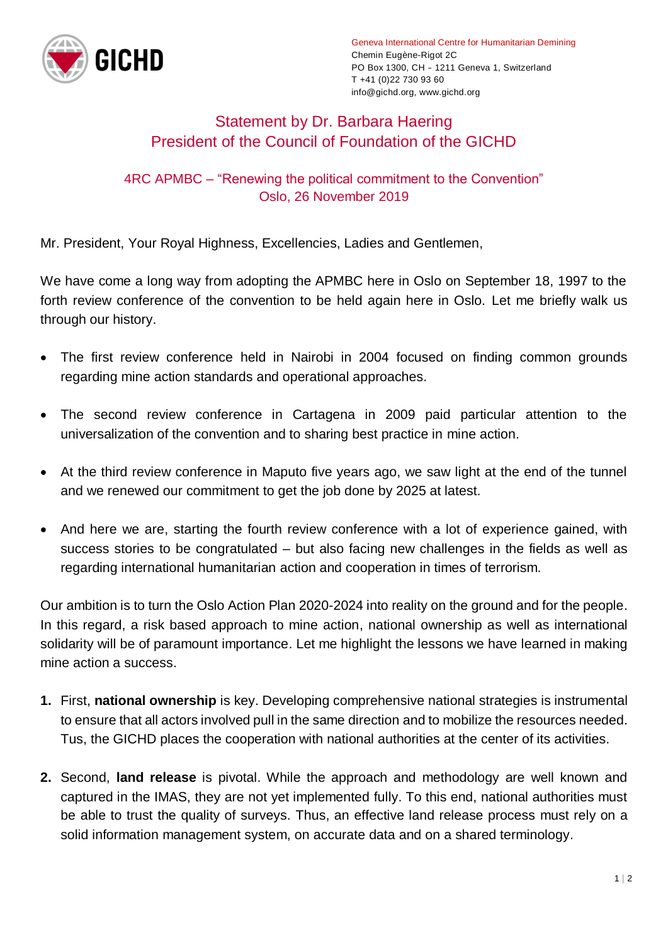

Geneva International Centre for Humanitarian Demining Chemin Eugène-Rigot 2C PO Box 1300, CH - 1211 Geneva 1, Switzerland T +41 (0)22 730 93 60 info@gichd.org, www.gichd.org

## Statement by Dr. Barbara Haering President of the Council of Foundation of the GICHD

## 4RC APMBC – "Renewing the political commitment to the Convention" Oslo, 26 November 2019

Mr. President, Your Royal Highness, Excellencies, Ladies and Gentlemen,

We have come a long way from adopting the APMBC here in Oslo on September 18, 1997 to the forth review conference of the convention to be held again here in Oslo. Let me briefly walk us through our history.

- The first review conference held in Nairobi in 2004 focused on finding common grounds regarding mine action standards and operational approaches.
- The second review conference in Cartagena in 2009 paid particular attention to the universalization of the convention and to sharing best practice in mine action.
- At the third review conference in Maputo five years ago, we saw light at the end of the tunnel and we renewed our commitment to get the job done by 2025 at latest.
- And here we are, starting the fourth review conference with a lot of experience gained, with success stories to be congratulated – but also facing new challenges in the fields as well as regarding international humanitarian action and cooperation in times of terrorism.

Our ambition is to turn the Oslo Action Plan 2020-2024 into reality on the ground and for the people. In this regard, a risk based approach to mine action, national ownership as well as international solidarity will be of paramount importance. Let me highlight the lessons we have learned in making mine action a success.

- **1.** First, **national ownership** is key. Developing comprehensive national strategies is instrumental to ensure that all actors involved pull in the same direction and to mobilize the resources needed. Tus, the GICHD places the cooperation with national authorities at the center of its activities.
- **2.** Second, **land release** is pivotal. While the approach and methodology are well known and captured in the IMAS, they are not yet implemented fully. To this end, national authorities must be able to trust the quality of surveys. Thus, an effective land release process must rely on a solid information management system, on accurate data and on a shared terminology.